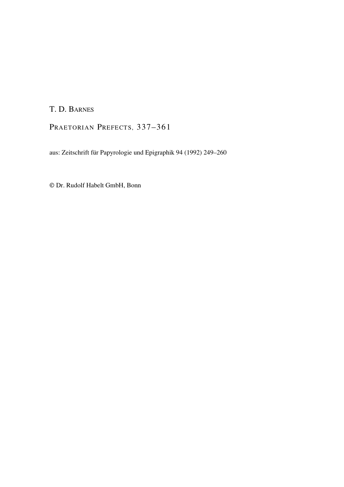# T. D. BARNES

PRAETORIAN PREFECTS, 337-361

aus: Zeitschrift für Papyrologie und Epigraphik 94 (1992) 249–260

© Dr. Rudolf Habelt GmbH, Bonn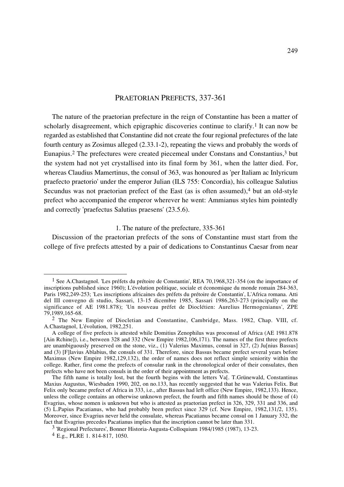# PRAETORIAN PREFECTS, 337-361

The nature of the praetorian prefecture in the reign of Constantine has been a matter of scholarly disagreement, which epigraphic discoveries continue to clarify.<sup>1</sup> It can now be regarded as established that Constantine did not create the four regional prefectures of the late fourth century as Zosimus alleged (2.33.1-2), repeating the views and probably the words of Eunapius.2 The prefectures were created piecemeal under Constans and Constantius,3 but the system had not yet crystallised into its final form by 361, when the latter died. For, whereas Claudius Mamertinus, the consul of 363, was honoured as 'per Italiam ac Inlyricum praefecto praetorio' under the emperor Julian (ILS 755: Concordia), his colleague Salutius Secundus was not praetorian prefect of the East (as is often assumed), $4$  but an old-style prefect who accompanied the emperor wherever he went: Ammianus styles him pointedly and correctly 'praefectus Salutius praesens' (23.5.6).

# 1. The nature of the prefecture, 335-361

Discussion of the praetorian prefects of the sons of Constantine must start from the college of five prefects attested by a pair of dedications to Constantinus Caesar from near

<sup>1</sup> See A.Chastagnol. 'Les préfets du prétoire de Constantin', REA 70,1968,321-354 (on the importance of inscriptions published since 1960); L'évolution politique, sociale et économique du monde romain 284-363, Paris 1982,249-253; 'Les inscriptions africaines des préfets du prétoire de Constantin', L'Africa romana. Atti del III convegno di studio, Sassari, 13-15 dicembre 1985, Sassari 1986,263-273 (principally on the significance of AE 1981.878); 'Un nouveau préfet de Dioclétien: Aurelius Hermogenianus', ZPE 79,1989,165-68.

<sup>2</sup> The New Empire of Diocletian and Constantine, Cambridge, Mass. 1982, Chap. VIII, cf. A.Chastagnol, L'évolution, 1982,251.

A college of five prefects is attested while Domitius Zenophilus was proconsul of Africa (AE 1981.878 [Ain Rchine]), i.e., between 328 and 332 (New Empire 1982,106,171). The names of the first three prefects are unambiguously preserved on the stone, viz., (1) Valerius Maximus, consul in 327, (2) Ju[nius Bassus] and (3) [F]lavius Ablabius, the consuls of 331. Therefore, since Bassus became prefect several years before Maximus (New Empire 1982,129,132), the order of names does not reflect simple seniority within the college. Rather, first come the prefects of consular rank in the chronological order of their consulates, then prefects who have not been consuls in the order of their appointment as prefects.

The fifth name is totally lost, but the fourth begins with the letters Va[. T.Grünewald, Constantinus Maxius Augustus, Wiesbaden 1990, 202, on no.133, has recently suggested that he was Valerius Felix. But Felix only became prefect of Africa in 333, i.e., after Bassus had left office (New Empire, 1982,133). Hence, unless the college contains an otherwise unknown prefect, the fourth and fifth names should be those of (4) Evagrius, whose nomen is unknown but who is attested as praetorian prefect in 326, 329, 331 and 336, and (5) L.Papius Pacatianus, who had probably been prefect since 329 (cf. New Empire, 1982,131/2, 135). Moreover, since Evagrius never held the consulate, whereas Pacatianus became consul on 1 January 332, the fact that Evagrius precedes Pacatianus implies that the inscription cannot be later than 331.

<sup>3 &#</sup>x27;Regional Prefectures', Bonner Historia-Augusta-Colloquium 1984/1985 (1987), 13-23.

<sup>4</sup> E.g., PLRE 1. 814-817, 1050.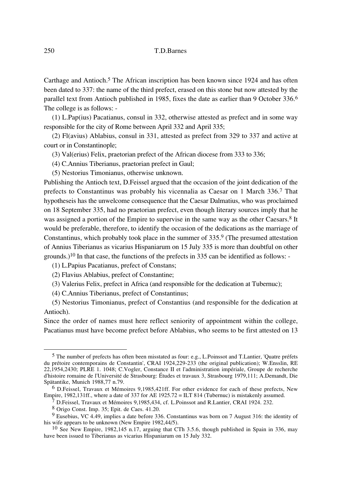Carthage and Antioch.<sup>5</sup> The African inscription has been known since 1924 and has often been dated to 337: the name of the third prefect, erased on this stone but now attested by the parallel text from Antioch published in 1985, fixes the date as earlier than 9 October 336.6 The college is as follows: -

(1) L.Pap(ius) Pacatianus, consul in 332, otherwise attested as prefect and in some way responsible for the city of Rome between April 332 and April 335;

(2) Fl(avius) Ablabius, consul in 331, attested as prefect from 329 to 337 and active at court or in Constantinople;

(3) Val(erius) Felix, praetorian prefect of the African diocese from 333 to 336;

(4) C.Annius Tiberianus, praetorian prefect in Gaul;

(5) Nestorius Timonianus, otherwise unknown.

Publishing the Antioch text, D.Feissel argued that the occasion of the joint dedication of the prefects to Constantinus was probably his vicennalia as Caesar on 1 March 336.7 That hypotheseis has the unwelcome consequence that the Caesar Dalmatius, who was proclaimed on 18 September 335, had no praetorian prefect, even though literary sources imply that he was assigned a portion of the Empire to supervise in the same way as the other Caesars.<sup>8</sup> It would be preferable, therefore, to identify the occasion of the dedications as the marriage of Constantinus, which probably took place in the summer of 335.9 (The presumed attestation of Annius Tiberianus as vicarius Hispaniarum on 15 July 335 is more than doubtful on other grounds.)10 In that case, the functions of the prefects in 335 can be identified as follows: -

(1) L.Papius Pacatianus, prefect of Constans;

(2) Flavius Ablabius, prefect of Constantine;

(3) Valerius Felix, prefect in Africa (and responsible for the dedication at Tubernuc);

(4) C.Annius Tiberianus, prefect of Constantinus;

(5) Nestorius Timonianus, prefect of Constantius (and responsible for the dedication at Antioch).

Since the order of names must here reflect seniority of appointment within the college, Pacatianus must have become prefect before Ablabius, who seems to be first attested on 13

<sup>5</sup> The number of prefects has often been misstated as four: e.g., L.Poinssot and T.Lantier, 'Quatre préfets du prétoire contemporains de Constantin', CRAI 1924,229-233 (the original publication); W.Ensslin, RE 22,1954,2430; PLRE 1. 1048; C.Vogler, Constance II et l'administration impériale, Groupe de recherche d'histoire romaine de l'Université de Strasbourg: Études et travaux 3, Strasbourg 1979,111; A.Demandt, Die Spätantike, Munich 1988,77 n.79.

<sup>6</sup> D.Feissel, Travaux et Mémoires 9,1985,421ff. For other evidence for each of these prefects, New Empire, 1982,131ff., where a date of 337 for AE 1925.72 = ILT 814 (Tubernuc) is mistakenly assumed.

 $\frac{7}{7}$  D.Feissel, Travaux et Mémoires 9,1985,434, cf. L.Poinssot and R.Lantier, CRAI 1924, 232.

<sup>8</sup> Origo Const. Imp. 35; Epit. de Caes. 41.20.

<sup>9</sup> Eusebius, VC 4.49, implies a date before 336. Constantinus was born on 7 August 316: the identity of his wife appears to be unknown (New Empire 1982,44/5).

<sup>10</sup> See New Empire, 1982,145 n.17, arguing that CTh 3.5.6, though published in Spain in 336, may have been issued to Tiberianus as vicarius Hispaniarum on 15 July 332.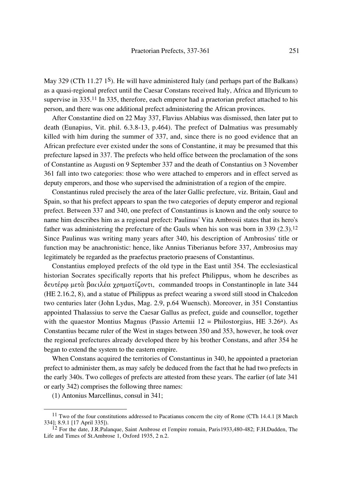May 329 (CTh 11.27 1<sup>S</sup>). He will have administered Italy (and perhaps part of the Balkans) as a quasi-regional prefect until the Caesar Constans received Italy, Africa and Illyricum to supervise in 335.11 In 335, therefore, each emperor had a praetorian prefect attached to his person, and there was one additional prefect administering the African provinces.

After Constantine died on 22 May 337, Flavius Ablabius was dismissed, then later put to death (Eunapius, Vit. phil. 6.3.8-13, p.464). The prefect of Dalmatius was presumably killed with him during the summer of 337, and, since there is no good evidence that an African prefecture ever existed under the sons of Constantine, it may be presumed that this prefecture lapsed in 337. The prefects who held office between the proclamation of the sons of Constantine as Augusti on 9 September 337 and the death of Constantius on 3 November 361 fall into two categories: those who were attached to emperors and in effect served as deputy emperors, and those who supervised the administration of a region of the empire.

Constantinus ruled precisely the area of the later Gallic prefecture, viz. Britain, Gaul and Spain, so that his prefect appears to span the two categories of deputy emperor and regional prefect. Between 337 and 340, one prefect of Constantinus is known and the only source to name him describes him as a regional prefect: Paulinus' Vita Ambrosii states that its hero's father was administering the prefecture of the Gauls when his son was born in 339 (2.3).<sup>12</sup> Since Paulinus was writing many years after 340, his description of Ambrosius' title or function may be anachronistic: hence, like Annius Tiberianus before 337, Ambrosius may legitimately be regarded as the praefectus praetorio praesens of Constantinus.

Constantius employed prefects of the old type in the East until 354. The ecclesiastical historian Socrates specifically reports that his prefect Philippus, whom he describes as δευτέρω μετά βατιλέα χρηματίζοντι, commanded troops in Constantinople in late 344 (HE 2.16.2, 8), and a statue of Philippus as prefect wearing a sword still stood in Chalcedon two centuries later (John Lydus, Mag. 2.9, p.64 Wuensch). Moreover, in 351 Constantius appointed Thalassius to serve the Caesar Gallus as prefect, guide and counsellor, together with the quaestor Montius Magnus (Passio Artemii 12 = Philostorgius, HE  $3.26<sup>a</sup>$ ). As Constantius became ruler of the West in stages between 350 and 353, however, he took over the regional prefectures already developed there by his brother Constans, and after 354 he began to extend the system to the eastern empire.

When Constans acquired the territories of Constantinus in 340, he appointed a praetorian prefect to administer them, as may safely be deduced from the fact that he had two prefects in the early 340s. Two colleges of prefects are attested from these years. The earlier (of late 341 or early 342) comprises the following three names:

(1) Antonius Marcellinus, consul in 341;

<sup>&</sup>lt;sup>11</sup> Two of the four constitutions addressed to Pacatianus concern the city of Rome (CTh 14.4.1 [8 March]) 334]; 8.9.1 [17 April 335]).

 $^{12}$  For the date, J.R.Palanque, Saint Ambrose et l'empire romain, Paris1933,480-482; F.H.Dudden, The Life and Times of St.Ambrose 1, Oxford 1935, 2 n.2.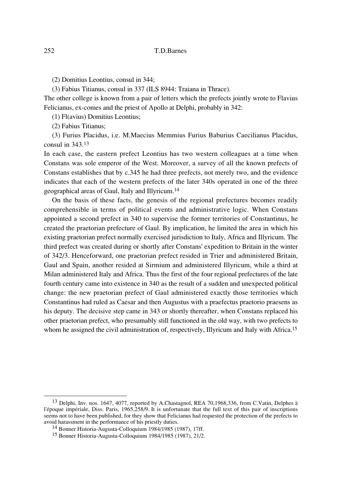(2) Domitius Leontius, consul in 344;

(3) Fabius Titianus, consul in 337 (ILS 8944: Traiana in Thrace).

The other college is known from a pair of letters which the prefects jointly wrote to Flavius Felicianus, ex-comes and the priest of Apollo at Delphi, probably in 342:

(1) Fl(avius) Domitius Leontius;

(2) Fabius Titianus;

(3) Furius Placidus, i.e. M.Maecius Memmius Furius Baburius Caecilianus Placidus, consul in 343.13

In each case, the eastern prefect Leontius has two western colleagues at a time when Constans was sole emperor of the West. Moreover, a survey of all the known prefects of Constans establishes that by c.345 he had three prefects, not merely two, and the evidence indicates that each of the western prefects of the later 340s operated in one of the three geographical areas of Gaul, Italy and Illyricum.14

On the basis of these facts, the genesis of the regional prefectures becomes readily comprehensible in terms of political events and administrative logic. When Constans appointed a second prefect in 340 to supervise the former territories of Constantinus, he created the praetorian prefecture of Gaul. By implication, he limited the area in which his existing praetorian prefect normally exercised jurisdiction to Italy, Africa and Illyricum. The third prefect was created during or shortly after Constans' expedition to Britain in the winter of 342/3. Henceforward, one praetorian prefect resided in Trier and administered Britain, Gaul and Spain, another resided at Sirmium and administered Illyricum, while a third at Milan administered Italy and Africa. Thus the first of the four regional prefectures of the late fourth century came into existence in 340 as the result of a sudden and unexpected political change: the new praetorian prefect of Gaul administered exactly those territories which Constantinus had ruled as Caesar and then Augustus with a praefectus praetorio praesens as his deputy. The decisive step came in 343 or shortly thereafter, when Constans replaced his other praetorian prefect, who presumably still functioned in the old way, with two prefects to whom he assigned the civil administration of, respectively, Illyricum and Italy with Africa.<sup>15</sup>

<sup>&</sup>lt;sup>13</sup> Delphi, Inv. nos. 1647, 4077, reported by A.Chastagnol, REA 70,1968,336, from C.Vatin, Delphes à l'époque impériale, Diss. Paris, 1965,258/9. It is unfortunate that the full text of this pair of inscriptions seems not to have been published, for they show that Felicianus had requested the protection of the prefects to avoid harassment in the performance of his priestly duties.

<sup>14</sup> Bonner Historia-Augusta-Colloquium 1984/1985 (1987), 17ff.

<sup>15</sup> Bonner Historia-Augusta-Colloquium 1984/1985 (1987), 21/2.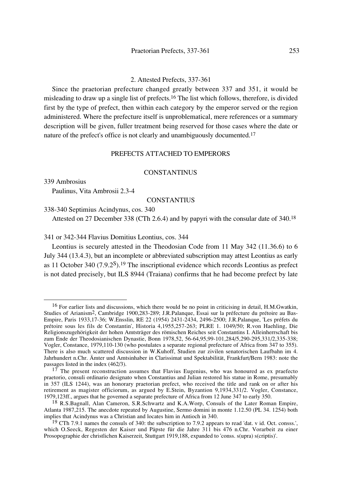#### 2. Attested Prefects, 337-361

Since the praetorian prefecture changed greatly between 337 and 351, it would be misleading to draw up a single list of prefects.16 The list which follows, therefore, is divided first by the type of prefect, then within each category by the emperor served or the region administered. Where the prefecture itself is unproblematical, mere references or a summary description will be given, fuller treatment being reserved for those cases where the date or nature of the prefect's office is not clearly and unambiguously documented.<sup>17</sup>

## PREFECTS ATTACHED TO EMPERORS

## CONSTANTINUS

339 Ambrosius

Paulinus, Vita Ambrosii 2.3-4

# **CONSTANTIUS**

338-340 Septimius Acindynus, cos. 340

Attested on 27 December 338 (CTh 2.6.4) and by papyri with the consular date of 340.18

341 or 342-344 Flavius Domitius Leontius, cos. 344

Leontius is securely attested in the Theodosian Code from 11 May 342 (11.36.6) to 6 July 344 (13.4.3), but an incomplete or abbreviated subscription may attest Leontius as early as 11 October 340 (7.9.2S).19 The inscriptional evidence which records Leontius as prefect is not dated precisely, but ILS 8944 (Traiana) confirms that he had become prefect by late

<sup>16</sup> For earlier lists and discussions, which there would be no point in criticising in detail, H.M.Gwatkin, Studies of Arianism2, Cambridge 1900,283-289; J.R.Palanque, Essai sur la préfecture du prétoire au Bas-Empire, Paris 1933,17-36; W.Ensslin, RE 22 (1954) 2431-2434, 2496-2500; J.R.Palanque, 'Les préfets du prétoire sous les fils de Constantin', Historia 4,1955,257-263; PLRE 1. 1049/50; R.von Haehling, Die Religionszugehörigkeit der hohen Amtsträger des römischen Reiches seit Constantins I. Alleinherrschaft bis zum Ende der Theodosianischen Dynastie, Bonn 1978,52, 56-64,95,99-101,284/5,290-295,331/2,335-338; Vogler, Constance, 1979,110-130 (who postulates a separate regional prefecture of Africa from 347 to 355). There is also much scattered discussion in W.Kuhoff, Studien zur zivilen senatorischen Laufbahn im 4. Jahrhundert n.Chr. Ämter und Amtsinhaber in Clarissimat und Spektabilität, Frankfurt/Bern 1983: note the passages listed in the index (462/3).

 $17$  The present reconstruction assumes that Flavius Eugenius, who was honoured as ex praefecto praetorio, consuli ordinario designato when Constantius and Julian restored his statue in Rome, presumably in 357 (ILS 1244), was an honorary praetorian prefect, who received the title and rank on or after his retirement as magister officiorum, as argued by E.Stein, Byzantion 9,1934,331/2. Vogler, Constance, 1979,123ff., argues that he governed a separate prefecture of Africa from 12 June 347 to early 350.

<sup>&</sup>lt;sup>18</sup> R.S.Bagnall, Alan Cameron, S.R.Schwartz and K.A.Worp, Consuls of the Later Roman Empire, Atlanta 1987,215. The anecdote repeated by Augustine, Sermo domini in monte 1.12.50 (PL 34. 1254) both implies that Acindynus was a Christian and locates him in Antioch in 340.

<sup>&</sup>lt;sup>19</sup> CTh 7.9.1 names the consuls of 340: the subscription to 7.9.2 appears to read 'dat. v id. Oct. consss.', which O.Seeck, Regesten der Kaiser und Päpste für die Jahre 311 bis 476 n.Chr. Vorarbeit zu einer Prosopographie der christlichen Kaiserzeit, Stuttgart 1919,188, expanded to 'conss. s(upra) s(criptis)'.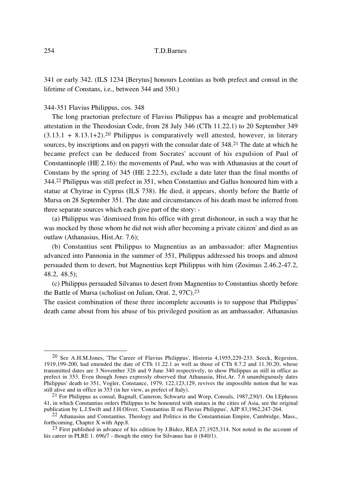341 or early 342. (ILS 1234 [Berytus] honours Leontius as both prefect and consul in the lifetime of Constans, i.e., between 344 and 350.)

#### 344-351 Flavius Philippus, cos. 348

The long praetorian prefecture of Flavius Philippus has a meagre and problematical attestation in the Theodosian Code, from 28 July 346 (CTh 11.22.1) to 20 September 349  $(3.13.1 + 8.13.1 + 2)$ <sup>20</sup> Philippus is comparatively well attested, however, in literary sources, by inscriptions and on papyri with the consular date of 348.21 The date at which he became prefect can be deduced from Socrates' account of his expulsion of Paul of Constantinople (HE 2.16): the movements of Paul, who was with Athanasius at the court of Constans by the spring of 345 (HE 2.22.5), exclude a date later than the final months of 344.22 Philippus was still prefect in 351, when Constantius and Gallus honoured him with a statue at Chytrae in Cyprus (ILS 738). He died, it appears, shortly before the Battle of Mursa on 28 September 351. The date and circumstances of his death must be inferred from three separate sources which each give part of the story: -

(a) Philippus was 'dismissed from his office with great dishonour, in such a way that he was mocked by those whom he did not wish after becoming a private citizen' and died as an outlaw (Athanasius, Hist.Ar. 7.6);

(b) Constantius sent Philippus to Magnentius as an ambassador: after Magnentius advanced into Pannonia in the summer of 351, Philippus addressed his troops and almost persuaded them to desert, but Magnentius kept Philippus with him (Zosimus 2.46.2-47.2, 48.2, 48.5);

(c) Philippus persuaded Silvanus to desert from Magnentius to Constantius shortly before the Battle of Mursa (scholiast on Julian, Orat. 2, 97C).23

The easiest combination of these three incomplete accounts is to suppose that Philippus' death came about from his abuse of his privileged position as an ambassador. Athanasius

<sup>20</sup> See A.H.M.Jones, 'The Career of Flavius Philippus', Historia 4,1955,229-233. Seeck, Regesten, 1919,199-200, had emended the date of CTh 11.22.1 as well as those of CTh 8.7.2 and 11.30.20, whose transmitted dates are 3 November 326 and 9 June 340 respectively, to show Philippus as still in office as prefect in 353. Even though Jones expressly observed that Athanasiu, Hist.Ar. 7.6 unambiguously dates Philippus' death to 351, Vogler, Constance, 1979, 122,123,129, revives the impossible notion that he was still alive and in office in 353 (in her view, as prefect of Italy).

<sup>21</sup> For Philippus as consul, Bagnall, Cameron, Schwartz and Worp, Consuls, 1987,230/1. On I.Ephesos 41, in which Constantius orders Philippus to be honoured with statues in the cities of Asia, see the original publication by L.J.Swift and J.H.Oliver, 'Constantius II on Flavius Philippus', AJP 83,1962,247-264.

<sup>22</sup> Athanasius and Constantius. Theology and Politics in the Constantinian Empire, Cambridge, Mass., forthcoming, Chapter X with App.8.

 $^{23}$  First published in advance of his edition by J.Bidez, REA 27,1925,314. Not noted in the account of his career in PLRE 1. 696/7 - though the entry for Silvanus has it (840/1).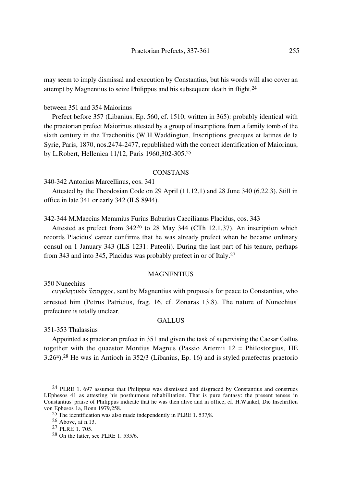may seem to imply dismissal and execution by Constantius, but his words will also cover an attempt by Magnentius to seize Philippus and his subsequent death in flight.24

# between 351 and 354 Maiorinus

Prefect before 357 (Libanius, Ep. 560, cf. 1510, written in 365): probably identical with the praetorian prefect Maiorinus attested by a group of inscriptions from a family tomb of the sixth century in the Trachonitis (W.H.Waddington, Inscriptions grecques et latines de la Syrie, Paris, 1870, nos.2474-2477, republished with the correct identification of Maiorinus, by L.Robert, Hellenica 11/12, Paris 1960,302-305.25

# **CONSTANS**

340-342 Antonius Marcellinus, cos. 341

Attested by the Theodosian Code on 29 April (11.12.1) and 28 June 340 (6.22.3). Still in office in late 341 or early 342 (ILS 8944).

342-344 M.Maecius Memmius Furius Baburius Caecilianus Placidus, cos. 343

Attested as prefect from 34226 to 28 May 344 (CTh 12.1.37). An inscription which records Placidus' career confirms that he was already prefect when he became ordinary consul on 1 January 343 (ILS 1231: Puteoli). During the last part of his tenure, perhaps from 343 and into 345, Placidus was probably prefect in or of Italy.27

#### MAGNENTIUS

350 Nunechius

 $\omega$   $\gamma$ Kλητικός ύπαρχος, sent by Magnentius with proposals for peace to Constantius, who arrested him (Petrus Patricius, frag. 16, cf. Zonaras 13.8). The nature of Nunechius' prefecture is totally unclear.

# **GALLUS**

351-353 Thalassius

Appointed as praetorian prefect in 351 and given the task of supervising the Caesar Gallus together with the quaestor Montius Magnus (Passio Artemii 12 = Philostorgius, HE 3.26a).28 He was in Antioch in 352/3 (Libanius, Ep. 16) and is styled praefectus praetorio

<sup>24</sup> PLRE 1. 697 assumes that Philippus was dismissed and disgraced by Constantius and construes I.Ephesos 41 as attesting his posthumous rehabilitation. That is pure fantasy: the present tenses in Constantius' praise of Philippus indicate that he was then alive and in office, cf. H.Wankel, Die Inschriften von Ephesos 1a, Bonn 1979,258.

<sup>&</sup>lt;sup>25</sup> The identification was also made independently in PLRE 1.537/8.

<sup>26</sup> Above, at n.13.

<sup>27</sup> PLRE 1. 705.

 $28$  On the latter, see PLRE 1. 535/6.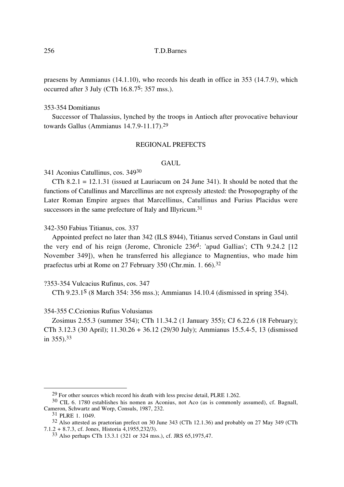256 T.D.Barnes

praesens by Ammianus (14.1.10), who records his death in office in 353 (14.7.9), which occurred after 3 July (CTh 16.8.7S: 357 mss.).

## 353-354 Domitianus

Successor of Thalassius, lynched by the troops in Antioch after provocative behaviour towards Gallus (Ammianus 14.7.9-11.17).29

# REGIONAL PREFECTS

# GAUL.

341 Aconius Catullinus, cos. 34930

CTh  $8.2.1 = 12.1.31$  (issued at Lauriacum on 24 June 341). It should be noted that the functions of Catullinus and Marcellinus are not expressly attested: the Prosopography of the Later Roman Empire argues that Marcellinus, Catullinus and Furius Placidus were successors in the same prefecture of Italy and Illyricum.<sup>31</sup>

342-350 Fabius Titianus, cos. 337

Appointed prefect no later than 342 (ILS 8944), Titianus served Constans in Gaul until the very end of his reign (Jerome, Chronicle 236d: 'apud Gallias'; CTh 9.24.2 [12 November 349]), when he transferred his allegiance to Magnentius, who made him praefectus urbi at Rome on 27 February 350 (Chr.min. 1. 66).32

# ?353-354 Vulcacius Rufinus, cos. 347

CTh 9.23.1S (8 March 354: 356 mss.); Ammianus 14.10.4 (dismissed in spring 354).

# 354-355 C.Ceionius Rufius Volusianus

Zosimus 2.55.3 (summer 354); CTh 11.34.2 (1 January 355); CJ 6.22.6 (18 February); CTh 3.12.3 (30 April); 11.30.26 + 36.12 (29/30 July); Ammianus 15.5.4-5, 13 (dismissed in 355).33

<sup>29</sup> For other sources which record his death with less precise detail, PLRE 1.262.

<sup>30</sup> CIL 6. 1780 establishes his nomen as Aconius, not Aco (as is commonly assumed), cf. Bagnall, Cameron, Schwartz and Worp, Consuls, 1987, 232.

<sup>31</sup> PLRE 1. 1049.

<sup>32</sup> Also attested as praetorian prefect on 30 June 343 (CTh 12.1.36) and probably on 27 May 349 (CTh 7.1.2 + 8.7.3, cf. Jones, Historia 4,1955,232/3).

<sup>33</sup> Also perhaps CTh 13.3.1 (321 or 324 mss.), cf. JRS 65,1975,47.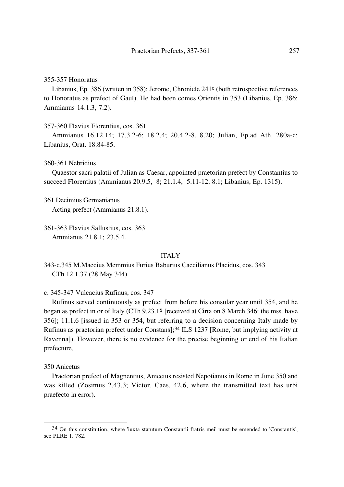#### 355-357 Honoratus

Libanius, Ep. 386 (written in 358); Jerome, Chronicle 241e (both retrospective references to Honoratus as prefect of Gaul). He had been comes Orientis in 353 (Libanius, Ep. 386; Ammianus 14.1.3, 7.2).

357-360 Flavius Florentius, cos. 361

Ammianus 16.12.14; 17.3.2-6; 18.2.4; 20.4.2-8, 8.20; Julian, Ep.ad Ath. 280a-c; Libanius, Orat. 18.84-85.

#### 360-361 Nebridius

Quaestor sacri palatii of Julian as Caesar, appointed praetorian prefect by Constantius to succeed Florentius (Ammianus 20.9.5, 8; 21.1.4, 5.11-12, 8.1; Libanius, Ep. 1315).

361 Decimius Germanianus Acting prefect (Ammianus 21.8.1).

361-363 Flavius Sallustius, cos. 363 Ammianus 21.8.1; 23.5.4.

# ITALY

343-c.345 M.Maecius Memmius Furius Baburius Caecilianus Placidus, cos. 343 CTh 12.1.37 (28 May 344)

c. 345-347 Vulcacius Rufinus, cos. 347

Rufinus served continuously as prefect from before his consular year until 354, and he began as prefect in or of Italy (CTh 9.23.1S [received at Cirta on 8 March 346: the mss. have 356]; 11.1.6 [issued in 353 or 354, but referring to a decision concerning Italy made by Rufinus as praetorian prefect under Constans];34 ILS 1237 [Rome, but implying activity at Ravenna]). However, there is no evidence for the precise beginning or end of his Italian prefecture.

350 Anicetus

Praetorian prefect of Magnentius, Anicetus resisted Nepotianus in Rome in June 350 and was killed (Zosimus 2.43.3; Victor, Caes. 42.6, where the transmitted text has urbi praefecto in error).

<sup>34</sup> On this constitution, where 'iuxta statutum Constantii fratris mei' must be emended to 'Constantis', see PLRE 1. 782.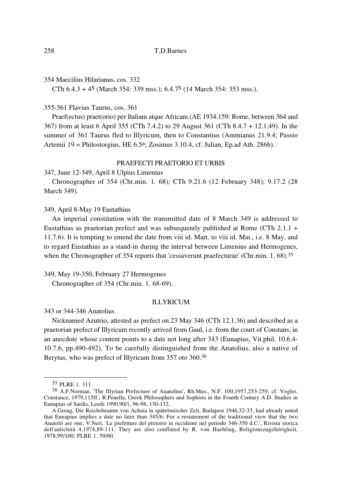354 Maecilius Hilarianus, cos. 332

CTh  $6.4.3 + 4^{\text{S}}$  (March 354: 339 mss.);  $6.4.7^{\text{S}}$  (14 March 354: 353 mss.).

# 355-361 Flavius Taurus, cos. 361

Praef(ectus) praet(orio) per Italiam atque Africam (AE 1934.159: Rome, between 364 and 367) from at least 6 April 355 (CTh 7.4.2) to 29 August 361 (CTh 8.4.7 + 12.1.49). In the summer of 361 Taurus fled to Illyricum, then to Constantius (Ammianus 21.9.4; Passio Artemii 19 = Philostorgius, HE 6.5a; Zosimus 3.10.4, cf. Julian, Ep.ad Ath. 286b).

# PRAEFECTI PRAETORIO ET URBIS

347, June 12-349, April 8 Ulpius Limenius

Chronographer of 354 (Chr.min. 1. 68); CTh 9.21.6 (12 February 348); 9.17.2 (28 March 349).

# 349, April 8-May 19 Eustathius

An imperial constitution with the transmitted date of 8 March 349 is addressed to Eustathius as praetorian prefect and was subsequently published at Rome (CTh 2.1.1 + 11.7.6). It is tempting to emend the date from viii id. Mart. to viii id. Mai., i.e. 8 May, and to regard Eustathius as a stand-in during the interval between Limenius and Hermogenes, when the Chronographer of 354 reports that 'cessaverunt praefecturae' (Chr.min. 1. 68).<sup>35</sup>

349, May 19-350, February 27 Hermogenes Chronographer of 354 (Chr.min. 1. 68-69).

#### ILLYRICUM

343 or 344-346 Anatolius

Nicknamed Azutrio, attested as prefect on 23 May 346 (CTh 12.1.36) and described as a praetorian prefect of Illyricum recently arrived from Gaul, i.e. from the court of Constans, in an anecdote whose content points to a date not long after 343 (Eunapius, Vit.phil. 10.6.4- 10.7.6, pp.490-492). To be carefully distinguished from the Anatolius, also a native of Berytus, who was prefect of Illyricum from 357 oto 360.36

<sup>35</sup> PLRE 1. 311.

<sup>36</sup> A.F.Norman, 'The Illyrian Prefecture of Anatolius', Rh.Mus., N.F. 100,1957,253-259, cf. Vogler, Constance, 1979,115ff.; R.Penella, Greek Philosophers and Sophists in the Fourth Century A.D. Studies in Eunapius of Sardis, Leeds 1990,90/1, 96-98, 130-132.

A.Groag, Die Reichsbeamte von Achaia in spätrömischer Zeit, Budapest 1946,32-33, had already noted that Eunapius implies a date no later than 345/6. For a restatement of the traditional view that the two Anatolii are one, V.Neri, 'Le prefetture del pretorio in occidente nel periodo 346-350 d.C.', Rivista storica dell'antichità 4,1974,89-111. They are also conflated by R. von Haehling, Religionszugehörigkeit, 1978,99/100; PLRE 1. 59/60.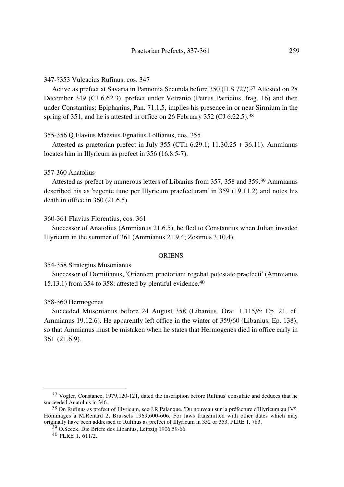### 347-?353 Vulcacius Rufinus, cos. 347

Active as prefect at Savaria in Pannonia Secunda before 350 (ILS 727).37 Attested on 28 December 349 (CJ 6.62.3), prefect under Vetranio (Petrus Patricius, frag. 16) and then under Constantius: Epiphanius, Pan. 71.1.5, implies his presence in or near Sirmium in the spring of 351, and he is attested in office on 26 February 352 (CJ 6.22.5).<sup>38</sup>

# 355-356 Q.Flavius Maesius Egnatius Lollianus, cos. 355

Attested as praetorian prefect in July 355 (CTh 6.29.1; 11.30.25 + 36.11). Ammianus locates him in Illyricum as prefect in 356 (16.8.5-7).

## 357-360 Anatolius

Attested as prefect by numerous letters of Libanius from 357, 358 and 359.39 Ammianus described his as 'regente tunc per Illyricum praefecturam' in 359 (19.11.2) and notes his death in office in 360 (21.6.5).

## 360-361 Flavius Florentius, cos. 361

Successor of Anatolius (Ammianus 21.6.5), he fled to Constantius when Julian invaded Illyricum in the summer of 361 (Ammianus 21.9.4; Zosimus 3.10.4).

#### **ORIENS**

## 354-358 Strategius Musonianus

Successor of Domitianus, 'Orientem praetoriani regebat potestate praefecti' (Ammianus 15.13.1) from 354 to 358: attested by plentiful evidence.40

# 358-360 Hermogenes

Succeded Musonianus before 24 August 358 (Libanius, Orat. 1.115/6; Ep. 21, cf. Ammianus 19.12.6). He apparently left office in the winter of 359/60 (Libanius, Ep. 138), so that Ammianus must be mistaken when he states that Hermogenes died in office early in 361 (21.6.9).

<sup>37</sup> Vogler, Constance, 1979,120-121, dated the inscription before Rufinus' consulate and deduces that he succeeded Anatolius in 346.

 $38$  On Rufinus as prefect of Illyricum, see J.R.Palanque, 'Du nouveau sur la préfecture d'Illyricum au IV<sup>e</sup>, Hommages à M.Renard 2, Brussels 1969,600-606. For laws transmitted with other dates which may originally have been addressed to Rufinus as prefect of Illyricum in 352 or 353, PLRE 1. 783.

<sup>39</sup> O.Seeck, Die Briefe des Libanius, Leipzig 1906,59-66.

<sup>40</sup> PLRE 1. 611/2.